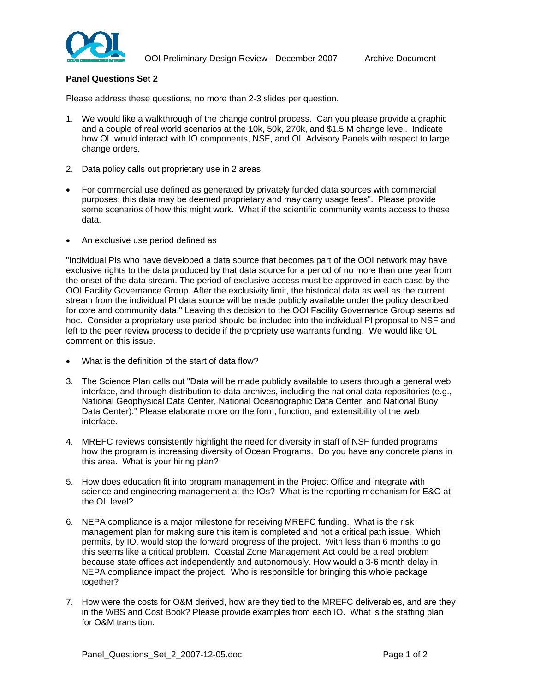

## **Panel Questions Set 2**

Please address these questions, no more than 2-3 slides per question.

- 1. We would like a walkthrough of the change control process. Can you please provide a graphic and a couple of real world scenarios at the 10k, 50k, 270k, and \$1.5 M change level. Indicate how OL would interact with IO components, NSF, and OL Advisory Panels with respect to large change orders.
- 2. Data policy calls out proprietary use in 2 areas.
- For commercial use defined as generated by privately funded data sources with commercial purposes; this data may be deemed proprietary and may carry usage fees". Please provide some scenarios of how this might work. What if the scientific community wants access to these data.
- An exclusive use period defined as

"Individual PIs who have developed a data source that becomes part of the OOI network may have exclusive rights to the data produced by that data source for a period of no more than one year from the onset of the data stream. The period of exclusive access must be approved in each case by the OOI Facility Governance Group. After the exclusivity limit, the historical data as well as the current stream from the individual PI data source will be made publicly available under the policy described for core and community data." Leaving this decision to the OOI Facility Governance Group seems ad hoc. Consider a proprietary use period should be included into the individual PI proposal to NSF and left to the peer review process to decide if the propriety use warrants funding. We would like OL comment on this issue.

- What is the definition of the start of data flow?
- 3. The Science Plan calls out "Data will be made publicly available to users through a general web interface, and through distribution to data archives, including the national data repositories (e.g., National Geophysical Data Center, National Oceanographic Data Center, and National Buoy Data Center)." Please elaborate more on the form, function, and extensibility of the web interface.
- 4. MREFC reviews consistently highlight the need for diversity in staff of NSF funded programs how the program is increasing diversity of Ocean Programs. Do you have any concrete plans in this area. What is your hiring plan?
- 5. How does education fit into program management in the Project Office and integrate with science and engineering management at the IOs? What is the reporting mechanism for E&O at the OL level?
- 6. NEPA compliance is a major milestone for receiving MREFC funding. What is the risk management plan for making sure this item is completed and not a critical path issue. Which permits, by IO, would stop the forward progress of the project. With less than 6 months to go this seems like a critical problem. Coastal Zone Management Act could be a real problem because state offices act independently and autonomously. How would a 3-6 month delay in NEPA compliance impact the project. Who is responsible for bringing this whole package together?
- 7. How were the costs for O&M derived, how are they tied to the MREFC deliverables, and are they in the WBS and Cost Book? Please provide examples from each IO. What is the staffing plan for O&M transition.